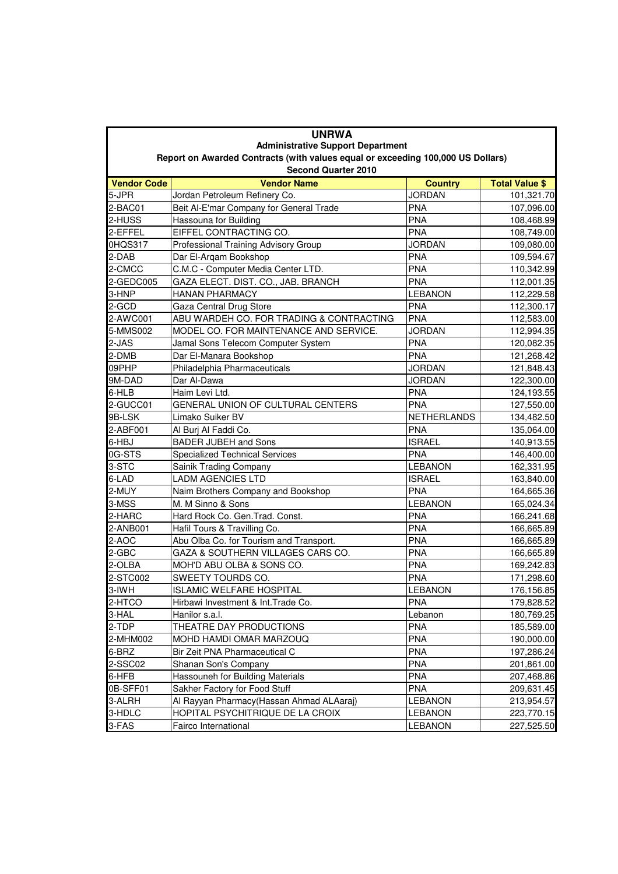| <b>UNRWA</b><br><b>Administrative Support Department</b><br>Report on Awarded Contracts (with values equal or exceeding 100,000 US Dollars) |                                                  |                                 |                                     |  |
|---------------------------------------------------------------------------------------------------------------------------------------------|--------------------------------------------------|---------------------------------|-------------------------------------|--|
| <b>Vendor Code</b>                                                                                                                          | <b>Second Quarter 2010</b><br><b>Vendor Name</b> |                                 |                                     |  |
| 5-JPR                                                                                                                                       | Jordan Petroleum Refinery Co.                    | <b>Country</b><br><b>JORDAN</b> | <b>Total Value \$</b><br>101,321.70 |  |
| 2-BAC01                                                                                                                                     | Beit Al-E'mar Company for General Trade          | <b>PNA</b>                      | 107,096.00                          |  |
| 2-HUSS                                                                                                                                      | Hassouna for Building                            | <b>PNA</b>                      | 108,468.99                          |  |
| 2-EFFEL                                                                                                                                     | EIFFEL CONTRACTING CO.                           | PNA                             | 108,749.00                          |  |
| 0HQS317                                                                                                                                     | Professional Training Advisory Group             | <b>JORDAN</b>                   | 109,080.00                          |  |
| 2-DAB                                                                                                                                       | Dar El-Argam Bookshop                            | <b>PNA</b>                      | 109,594.67                          |  |
| 2-CMCC                                                                                                                                      | C.M.C - Computer Media Center LTD.               | <b>PNA</b>                      | 110,342.99                          |  |
| 2-GEDC005                                                                                                                                   | GAZA ELECT. DIST. CO., JAB. BRANCH               | <b>PNA</b>                      | 112,001.35                          |  |
| 3-HNP                                                                                                                                       | <b>HANAN PHARMACY</b>                            | <b>LEBANON</b>                  | 112,229.58                          |  |
| 2-GCD                                                                                                                                       | Gaza Central Drug Store                          | <b>PNA</b>                      | 112,300.17                          |  |
| 2-AWC001                                                                                                                                    | ABU WARDEH CO. FOR TRADING & CONTRACTING         | <b>PNA</b>                      | 112,583.00                          |  |
| 5-MMS002                                                                                                                                    | MODEL CO. FOR MAINTENANCE AND SERVICE.           | <b>JORDAN</b>                   | 112,994.35                          |  |
| 2-JAS                                                                                                                                       | Jamal Sons Telecom Computer System               | <b>PNA</b>                      | 120,082.35                          |  |
| 2-DMB                                                                                                                                       | Dar El-Manara Bookshop                           | <b>PNA</b>                      | 121,268.42                          |  |
| 09PHP                                                                                                                                       | Philadelphia Pharmaceuticals                     | <b>JORDAN</b>                   | 121,848.43                          |  |
| 9M-DAD                                                                                                                                      | Dar Al-Dawa                                      | <b>JORDAN</b>                   | 122,300.00                          |  |
| 6-HLB                                                                                                                                       | Haim Levi Ltd.                                   | <b>PNA</b>                      | 124,193.55                          |  |
| 2-GUCC01                                                                                                                                    | GENERAL UNION OF CULTURAL CENTERS                | <b>PNA</b>                      | 127,550.00                          |  |
| 9B-LSK                                                                                                                                      | Limako Suiker BV                                 | NETHERLANDS                     | 134,482.50                          |  |
| 2-ABF001                                                                                                                                    | Al Burj Al Faddi Co.                             | <b>PNA</b>                      | 135,064.00                          |  |
| 6-HBJ                                                                                                                                       | <b>BADER JUBEH and Sons</b>                      | <b>ISRAEL</b>                   | 140,913.55                          |  |
| 0G-STS                                                                                                                                      | <b>Specialized Technical Services</b>            | <b>PNA</b>                      | 146,400.00                          |  |
| 3-STC                                                                                                                                       | Sainik Trading Company                           | <b>LEBANON</b>                  | 162,331.95                          |  |
| 6-LAD                                                                                                                                       | <b>LADM AGENCIES LTD</b>                         | <b>ISRAEL</b>                   | 163,840.00                          |  |
| 2-MUY                                                                                                                                       | Naim Brothers Company and Bookshop               | <b>PNA</b>                      | 164,665.36                          |  |
| 3-MSS                                                                                                                                       | M. M Sinno & Sons                                | <b>LEBANON</b>                  | 165,024.34                          |  |
| 2-HARC                                                                                                                                      | Hard Rock Co. Gen. Trad. Const.                  | <b>PNA</b>                      | 166,241.68                          |  |
| 2-ANB001                                                                                                                                    | Hafil Tours & Travilling Co.                     | <b>PNA</b>                      | 166,665.89                          |  |
| 2-AOC                                                                                                                                       | Abu Olba Co. for Tourism and Transport.          | <b>PNA</b>                      | 166,665.89                          |  |
| 2-GBC                                                                                                                                       | GAZA & SOUTHERN VILLAGES CARS CO.                | <b>PNA</b>                      | 166,665.89                          |  |
| 2-OLBA                                                                                                                                      | MOH'D ABU OLBA & SONS CO.                        | <b>PNA</b>                      | 169,242.83                          |  |
| 2-STC002                                                                                                                                    | SWEETY TOURDS CO.                                | <b>PNA</b>                      | 171,298.60                          |  |
| $3$ -IWH                                                                                                                                    | <b>ISLAMIC WELFARE HOSPITAL</b>                  | <b>LEBANON</b>                  | 176,156.85                          |  |
| 2-HTCO                                                                                                                                      | Hirbawi Investment & Int. Trade Co.              | <b>PNA</b>                      | 179,828.52                          |  |
| 3-HAL                                                                                                                                       | Hanilor s.a.l.                                   | Lebanon                         | 180,769.25                          |  |
| 2-TDP                                                                                                                                       | THEATRE DAY PRODUCTIONS                          | <b>PNA</b>                      | 185,589.00                          |  |
| 2-MHM002                                                                                                                                    | MOHD HAMDI OMAR MARZOUQ                          | <b>PNA</b>                      | 190,000.00                          |  |
| $6-BRZ$                                                                                                                                     | Bir Zeit PNA Pharmaceutical C                    | <b>PNA</b>                      | 197,286.24                          |  |
| 2-SSC02                                                                                                                                     | Shanan Son's Company                             | <b>PNA</b>                      | 201,861.00                          |  |
| 6-HFB                                                                                                                                       | Hassouneh for Building Materials                 | <b>PNA</b>                      | 207,468.86                          |  |
| 0B-SFF01                                                                                                                                    | Sakher Factory for Food Stuff                    | <b>PNA</b>                      | 209,631.45                          |  |
| 3-ALRH                                                                                                                                      | Al Rayyan Pharmacy (Hassan Ahmad ALAaraj)        | <b>LEBANON</b>                  | 213,954.57                          |  |
| 3-HDLC                                                                                                                                      | HOPITAL PSYCHITRIQUE DE LA CROIX                 | <b>LEBANON</b>                  | 223,770.15                          |  |
| 3-FAS                                                                                                                                       | Fairco International                             | <b>LEBANON</b>                  | 227,525.50                          |  |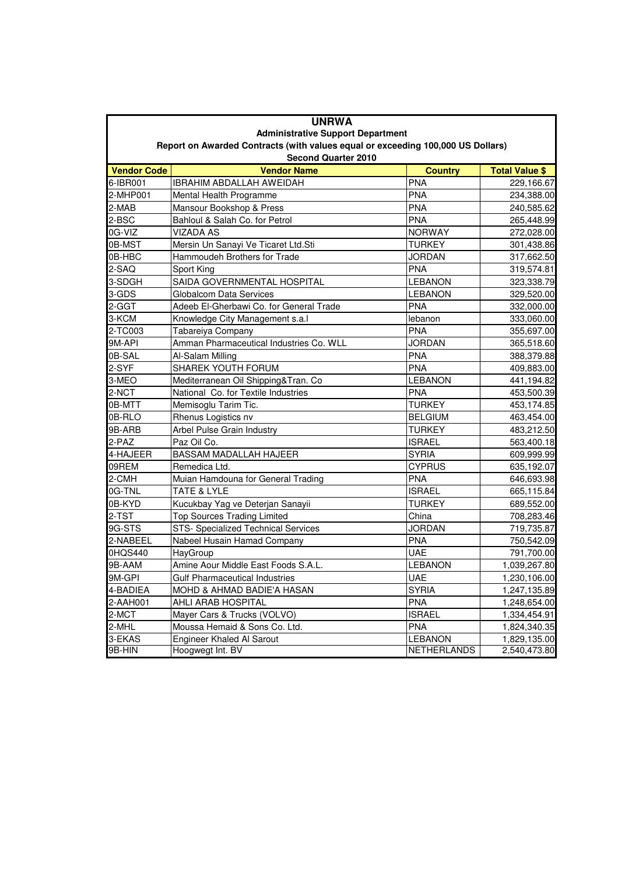|                                                                                                                             | <b>UNRWA</b>                            |                    |                       |  |  |
|-----------------------------------------------------------------------------------------------------------------------------|-----------------------------------------|--------------------|-----------------------|--|--|
| <b>Administrative Support Department</b><br>Report on Awarded Contracts (with values equal or exceeding 100,000 US Dollars) |                                         |                    |                       |  |  |
|                                                                                                                             |                                         |                    |                       |  |  |
| <b>Vendor Code</b>                                                                                                          | <b>Vendor Name</b>                      | <b>Country</b>     | <b>Total Value \$</b> |  |  |
| 6-IBR001                                                                                                                    | <b>IBRAHIM ABDALLAH AWEIDAH</b>         | PNA                | 229,166.67            |  |  |
| 2-MHP001                                                                                                                    | Mental Health Programme                 | <b>PNA</b>         | 234,388.00            |  |  |
| 2-MAB                                                                                                                       | Mansour Bookshop & Press                | <b>PNA</b>         | 240,585.62            |  |  |
| 2-BSC                                                                                                                       | Bahloul & Salah Co. for Petrol          | <b>PNA</b>         | 265,448.99            |  |  |
| 0G-VIZ                                                                                                                      | <b>VIZADA AS</b>                        | <b>NORWAY</b>      | 272,028.00            |  |  |
| 0B-MST                                                                                                                      | Mersin Un Sanayi Ve Ticaret Ltd.Sti     | <b>TURKEY</b>      | 301,438.86            |  |  |
| 0B-HBC                                                                                                                      | Hammoudeh Brothers for Trade            | <b>JORDAN</b>      | 317,662.50            |  |  |
| 2-SAQ                                                                                                                       | Sport King                              | <b>PNA</b>         | 319,574.81            |  |  |
| 3-SDGH                                                                                                                      | SAIDA GOVERNMENTAL HOSPITAL             | <b>LEBANON</b>     | 323,338.79            |  |  |
| 3-GDS                                                                                                                       | Globalcom Data Services                 | <b>LEBANON</b>     | 329,520.00            |  |  |
| 2-GGT                                                                                                                       | Adeeb El-Gherbawi Co. for General Trade | <b>PNA</b>         | 332,000.00            |  |  |
| 3-KCM                                                                                                                       | Knowledge City Management s.a.l         | lebanon            | 333,060.00            |  |  |
| 2-TC003                                                                                                                     | Tabareiya Company                       | <b>PNA</b>         | 355,697.00            |  |  |
| 9M-API                                                                                                                      | Amman Pharmaceutical Industries Co. WLL | <b>JORDAN</b>      | 365,518.60            |  |  |
| 0B-SAL                                                                                                                      | Al-Salam Milling                        | <b>PNA</b>         | 388,379.88            |  |  |
| 2-SYF                                                                                                                       | SHAREK YOUTH FORUM                      | <b>PNA</b>         | 409,883.00            |  |  |
| 3-MEO                                                                                                                       | Mediterranean Oil Shipping&Tran. Co     | <b>LEBANON</b>     | 441,194.82            |  |  |
| 2-NCT                                                                                                                       | National Co. for Textile Industries     | <b>PNA</b>         | 453,500.39            |  |  |
| 0B-MTT                                                                                                                      | Memisoglu Tarim Tic.                    | <b>TURKEY</b>      | 453,174.85            |  |  |
| 0B-RLO                                                                                                                      | Rhenus Logistics nv                     | <b>BELGIUM</b>     | 463,454.00            |  |  |
| 9B-ARB                                                                                                                      | Arbel Pulse Grain Industry              | <b>TURKEY</b>      | 483,212.50            |  |  |
| 2-PAZ                                                                                                                       | Paz Oil Co.                             | <b>ISRAEL</b>      | 563,400.18            |  |  |
| 4-HAJEER                                                                                                                    | <b>BASSAM MADALLAH HAJEER</b>           | <b>SYRIA</b>       | 609,999.99            |  |  |
| 09REM                                                                                                                       | Remedica Ltd.                           | <b>CYPRUS</b>      | 635,192.07            |  |  |
| 2-CMH                                                                                                                       | Muian Hamdouna for General Trading      | PNA                | 646,693.98            |  |  |
| 0G-TNL                                                                                                                      | TATE & LYLE                             | <b>ISRAEL</b>      | 665,115.84            |  |  |
| 0B-KYD                                                                                                                      | Kucukbay Yag ve Deterjan Sanayii        | <b>TURKEY</b>      | 689,552.00            |  |  |
| 2-TST                                                                                                                       | <b>Top Sources Trading Limited</b>      | China              | 708,283.46            |  |  |
| 9G-STS                                                                                                                      | STS- Specialized Technical Services     | <b>JORDAN</b>      | 719,735.87            |  |  |
| 2-NABEEL                                                                                                                    | Nabeel Husain Hamad Company             | <b>PNA</b>         | 750,542.09            |  |  |
| 0HQS440                                                                                                                     | HayGroup                                | <b>UAE</b>         | 791,700.00            |  |  |
| 9B-AAM                                                                                                                      | Amine Aour Middle East Foods S.A.L.     | <b>LEBANON</b>     | 1,039,267.80          |  |  |
| 9M-GPI                                                                                                                      | <b>Gulf Pharmaceutical Industries</b>   | <b>UAE</b>         | 1,230,106.00          |  |  |
| 4-BADIEA                                                                                                                    | MOHD & AHMAD BADIE'A HASAN              | <b>SYRIA</b>       | 1,247,135.89          |  |  |
| 2-AAH001                                                                                                                    | AHLI ARAB HOSPITAL                      | <b>PNA</b>         | 1,248,654.00          |  |  |
| 2-MCT                                                                                                                       | Mayer Cars & Trucks (VOLVO)             | <b>ISRAEL</b>      | 1,334,454.91          |  |  |
| 2-MHL                                                                                                                       | Moussa Hemaid & Sons Co. Ltd.           | <b>PNA</b>         | 1,824,340.35          |  |  |
| 3-EKAS                                                                                                                      | Engineer Khaled Al Sarout               | <b>LEBANON</b>     | 1,829,135.00          |  |  |
| 9B-HIN                                                                                                                      | Hoogwegt Int. BV                        | <b>NETHERLANDS</b> | 2,540,473.80          |  |  |